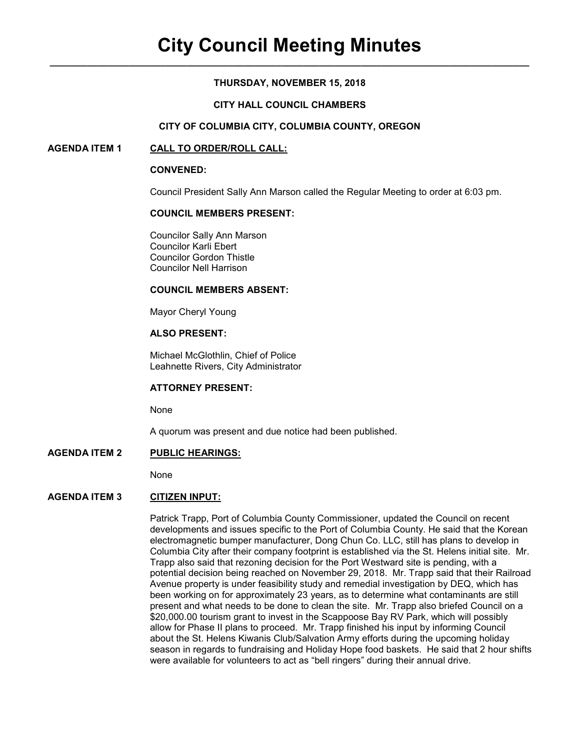### **THURSDAY, NOVEMBER 15, 2018**

#### **CITY HALL COUNCIL CHAMBERS**

#### **CITY OF COLUMBIA CITY, COLUMBIA COUNTY, OREGON**

#### **AGENDA ITEM 1 CALL TO ORDER/ROLL CALL:**

#### **CONVENED:**

Council President Sally Ann Marson called the Regular Meeting to order at 6:03 pm.

#### **COUNCIL MEMBERS PRESENT:**

 Councilor Sally Ann Marson Councilor Karli Ebert Councilor Gordon Thistle Councilor Nell Harrison

#### **COUNCIL MEMBERS ABSENT:**

Mayor Cheryl Young

# **ALSO PRESENT:**

Michael McGlothlin, Chief of Police Leahnette Rivers, City Administrator

#### **ATTORNEY PRESENT:**

None

A quorum was present and due notice had been published.

# **AGENDA ITEM 2 PUBLIC HEARINGS:**

None

# **AGENDA ITEM 3 CITIZEN INPUT:**

Patrick Trapp, Port of Columbia County Commissioner, updated the Council on recent developments and issues specific to the Port of Columbia County. He said that the Korean electromagnetic bumper manufacturer, Dong Chun Co. LLC, still has plans to develop in Columbia City after their company footprint is established via the St. Helens initial site. Mr. Trapp also said that rezoning decision for the Port Westward site is pending, with a potential decision being reached on November 29, 2018. Mr. Trapp said that their Railroad Avenue property is under feasibility study and remedial investigation by DEQ, which has been working on for approximately 23 years, as to determine what contaminants are still present and what needs to be done to clean the site. Mr. Trapp also briefed Council on a \$20,000.00 tourism grant to invest in the Scappoose Bay RV Park, which will possibly allow for Phase II plans to proceed. Mr. Trapp finished his input by informing Council about the St. Helens Kiwanis Club/Salvation Army efforts during the upcoming holiday season in regards to fundraising and Holiday Hope food baskets. He said that 2 hour shifts were available for volunteers to act as "bell ringers" during their annual drive.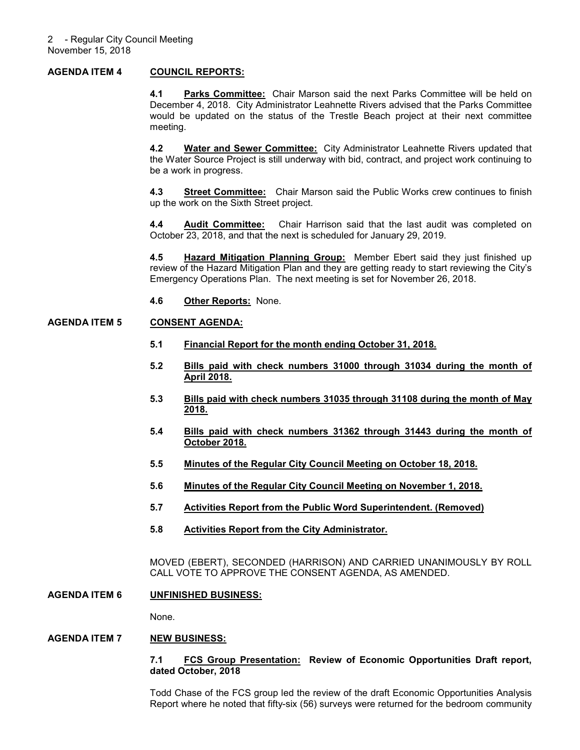### **AGENDA ITEM 4 COUNCIL REPORTS:**

**4.1 Parks Committee:** Chair Marson said the next Parks Committee will be held on December 4, 2018. City Administrator Leahnette Rivers advised that the Parks Committee would be updated on the status of the Trestle Beach project at their next committee meeting.

**4.2 Water and Sewer Committee:** City Administrator Leahnette Rivers updated that the Water Source Project is still underway with bid, contract, and project work continuing to be a work in progress.

**4.3 Street Committee:** Chair Marson said the Public Works crew continues to finish up the work on the Sixth Street project.

**4.4 Audit Committee:** Chair Harrison said that the last audit was completed on October 23, 2018, and that the next is scheduled for January 29, 2019.

**4.5 Hazard Mitigation Planning Group:** Member Ebert said they just finished up review of the Hazard Mitigation Plan and they are getting ready to start reviewing the City's Emergency Operations Plan. The next meeting is set for November 26, 2018.

**4.6 Other Reports:** None.

#### **AGENDA ITEM 5 CONSENT AGENDA:**

- **5.1 Financial Report for the month ending October 31, 2018.**
- **5.2 Bills paid with check numbers 31000 through 31034 during the month of April 2018.**
- **5.3 Bills paid with check numbers 31035 through 31108 during the month of May 2018.**
- **5.4 Bills paid with check numbers 31362 through 31443 during the month of October 2018.**
- **5.5 Minutes of the Regular City Council Meeting on October 18, 2018.**
- **5.6 Minutes of the Regular City Council Meeting on November 1, 2018.**
- **5.7 Activities Report from the Public Word Superintendent. (Removed)**
- **5.8 Activities Report from the City Administrator.**

MOVED (EBERT), SECONDED (HARRISON) AND CARRIED UNANIMOUSLY BY ROLL CALL VOTE TO APPROVE THE CONSENT AGENDA, AS AMENDED.

#### **AGENDA ITEM 6 UNFINISHED BUSINESS:**

None.

# **AGENDA ITEM 7 NEW BUSINESS:**

#### **7.1 FCS Group Presentation: Review of Economic Opportunities Draft report, dated October, 2018**

Todd Chase of the FCS group led the review of the draft Economic Opportunities Analysis Report where he noted that fifty-six (56) surveys were returned for the bedroom community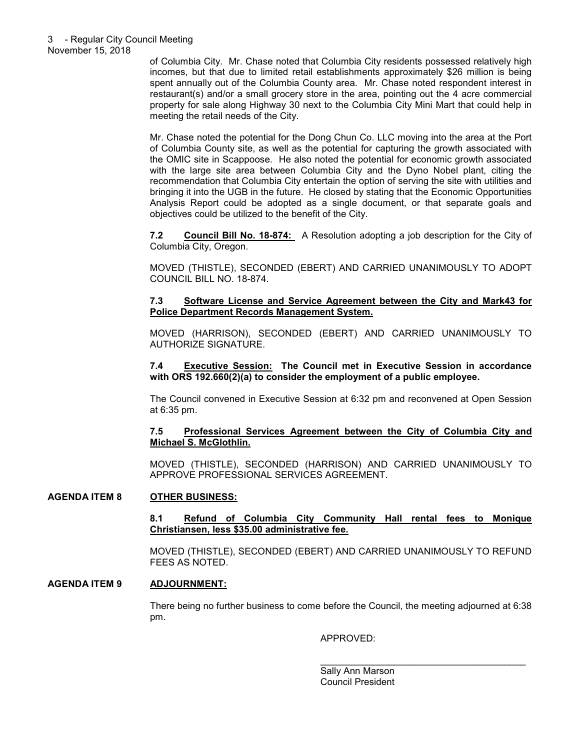of Columbia City. Mr. Chase noted that Columbia City residents possessed relatively high incomes, but that due to limited retail establishments approximately \$26 million is being spent annually out of the Columbia County area. Mr. Chase noted respondent interest in restaurant(s) and/or a small grocery store in the area, pointing out the 4 acre commercial property for sale along Highway 30 next to the Columbia City Mini Mart that could help in meeting the retail needs of the City.

Mr. Chase noted the potential for the Dong Chun Co. LLC moving into the area at the Port of Columbia County site, as well as the potential for capturing the growth associated with the OMIC site in Scappoose. He also noted the potential for economic growth associated with the large site area between Columbia City and the Dyno Nobel plant, citing the recommendation that Columbia City entertain the option of serving the site with utilities and bringing it into the UGB in the future. He closed by stating that the Economic Opportunities Analysis Report could be adopted as a single document, or that separate goals and objectives could be utilized to the benefit of the City.

**7.2 Council Bill No. 18-874:** A Resolution adopting a job description for the City of Columbia City, Oregon.

MOVED (THISTLE), SECONDED (EBERT) AND CARRIED UNANIMOUSLY TO ADOPT COUNCIL BILL NO. 18-874.

## **7.3 Software License and Service Agreement between the City and Mark43 for Police Department Records Management System.**

MOVED (HARRISON), SECONDED (EBERT) AND CARRIED UNANIMOUSLY TO AUTHORIZE SIGNATURE.

**7.4 Executive Session: The Council met in Executive Session in accordance with ORS 192.660(2)(a) to consider the employment of a public employee.** 

The Council convened in Executive Session at 6:32 pm and reconvened at Open Session at 6:35 pm.

# **7.5 Professional Services Agreement between the City of Columbia City and Michael S. McGlothlin.**

MOVED (THISTLE), SECONDED (HARRISON) AND CARRIED UNANIMOUSLY TO APPROVE PROFESSIONAL SERVICES AGREEMENT.

# **AGENDA ITEM 8 OTHER BUSINESS:**

**8.1 Refund of Columbia City Community Hall rental fees to Monique Christiansen, less \$35.00 administrative fee.** 

MOVED (THISTLE), SECONDED (EBERT) AND CARRIED UNANIMOUSLY TO REFUND FEES AS NOTED.

# **AGENDA ITEM 9 ADJOURNMENT:**

There being no further business to come before the Council, the meeting adjourned at 6:38 pm.

 $\overline{\phantom{a}}$  , and the contract of the contract of the contract of the contract of the contract of the contract of the contract of the contract of the contract of the contract of the contract of the contract of the contrac

APPROVED:

 Sally Ann Marson Council President